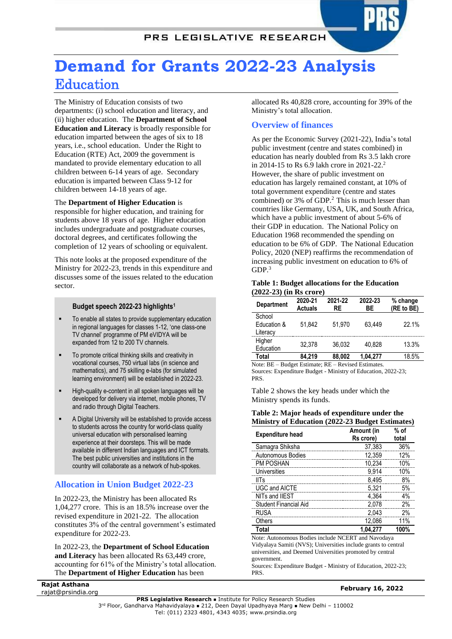# PRS LEGISLATIVE RESEARCH

# **Demand for Grants 2022-23 Analysis** Education

The Ministry of Education consists of two departments: (i) school education and literacy, and (ii) higher education. The **Department of School Education and Literacy** is broadly responsible for education imparted between the ages of six to 18 years, i.e., school education. Under the Right to Education (RTE) Act, 2009 the government is mandated to provide elementary education to all children between 6-14 years of age. Secondary education is imparted between Class 9-12 for children between 14-18 years of age.

#### The **Department of Higher Education** is

responsible for higher education, and training for students above 18 years of age. Higher education includes undergraduate and postgraduate courses, doctoral degrees, and certificates following the completion of 12 years of schooling or equivalent.

This note looks at the proposed expenditure of the Ministry for 2022-23, trends in this expenditure and discusses some of the issues related to the education sector.

#### **Budget speech 2022-23 highlights<sup>1</sup>**

- To enable all states to provide supplementary education in regional languages for classes 1-12, 'one class-one TV channel' programme of PM eVIDYA will be expanded from 12 to 200 TV channels.
- To promote critical thinking skills and creativity in vocational courses, 750 virtual labs (in science and mathematics), and 75 skilling e-labs (for simulated learning environment) will be established in 2022-23.
- High-quality e-content in all spoken languages will be developed for delivery via internet, mobile phones, TV and radio through Digital Teachers.
- A Digital University will be established to provide access to students across the country for world-class quality universal education with personalised learning experience at their doorsteps. This will be made available in different Indian languages and ICT formats. The best public universities and institutions in the country will collaborate as a network of hub-spokes.

# **Allocation in Union Budget 2022-23**

In 2022-23, the Ministry has been allocated Rs 1,04,277 crore. This is an 18.5% increase over the revised expenditure in 2021-22. The allocation constitutes 3% of the central government's estimated expenditure for 2022-23.

In 2022-23, the **Department of School Education and Literacy** has been allocated Rs 63,449 crore, accounting for 61% of the Ministry's total allocation. The **Department of Higher Education** has been

**Rajat Asthana** rajat@prsindia.org **February 16, 2022**

allocated Rs 40,828 crore, accounting for 39% of the Ministry's total allocation.

# **Overview of finances**

As per the Economic Survey (2021-22), India's total public investment (centre and states combined) in education has nearly doubled from Rs 3.5 lakh crore in 2014-15 to Rs 6.9 lakh crore in 2021-22.<sup>2</sup> However, the share of public investment on education has largely remained constant, at 10% of total government expenditure (centre and states combined) or  $3\%$  of GDP.<sup>2</sup> This is much lesser than countries like Germany, USA, UK, and South Africa, which have a public investment of about 5-6% of their GDP in education. The National Policy on Education 1968 recommended the spending on education to be 6% of GDP. The National Education Policy, 2020 (NEP) reaffirms the recommendation of increasing public investment on education to 6% of  $GDP.<sup>3</sup>$ 

#### <span id="page-0-1"></span>**Table 1: Budget allocations for the Education (2022-23) (in Rs crore)**

<span id="page-0-2"></span>

| <b>Department</b>                 | 2020-21<br><b>Actuals</b> | 2021-22<br>RE | 2022-23<br>ВE | % change<br>(RE to BE) |
|-----------------------------------|---------------------------|---------------|---------------|------------------------|
| School<br>Education &<br>Literacy | 51.842                    | 51.970        | 63.449        | 22.1%                  |
| Higher<br>Education               | 32.378                    | 36.032        | 40.828        | 13.3%                  |
| Total                             | 84.219                    | 88.002        | 1.04.277      | 18 5%                  |

Note: BE – Budget Estimate; RE – Revised Estimates. Sources: Expenditure Budget - Ministry of Education, 2022-23; PRS.

[Table 2](#page-0-0) shows the key heads under which the Ministry spends its funds.

# <span id="page-0-0"></span>**Table 2: Major heads of expenditure under the Ministry of Education (2022-23 Budget Estimates)**

| <b>Expenditure head</b> | Amount (in<br>Rs crore) | % of<br>total |
|-------------------------|-------------------------|---------------|
| Samagra Shiksha         | 37,383                  | 36%           |
| Autonomous Bodies       | 12,359                  | 12%           |
| PM POSHAN               | 10.234                  | 1በ%           |
| Universities            | 9,914                   | 1በ%           |
| IITs                    | 8.495                   |               |
| <b>UGC and AICTE</b>    | 5.321                   | 5%            |
| NITs and IIEST          | 4,364                   | 4%            |
| Student Financial Aid   | 2,078                   | 2%            |
| RUSA                    | 2,043                   | 2%            |
| Others                  | 12.086                  | 11%           |
| Total                   | 04,277                  | 100%          |

Note: Autonomous Bodies include NCERT and Navodaya Vidyalaya Samiti (NVS); Universities include grants to central universities, and Deemed Universities promoted by central government.

Sources: Expenditure Budget - Ministry of Education, 2022-23; PRS.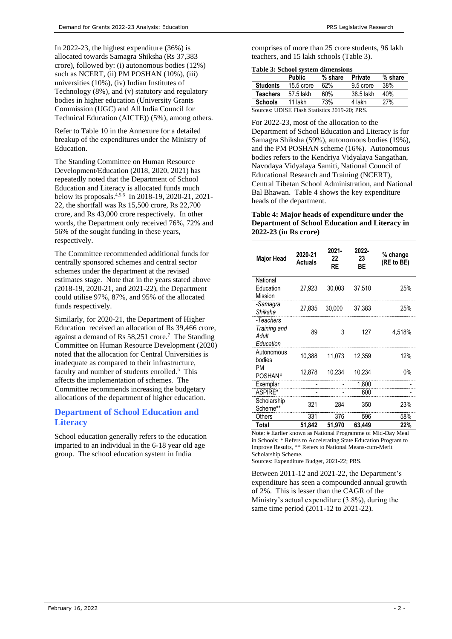In 2022-23, the highest expenditure (36%) is allocated towards Samagra Shiksha (Rs 37,383 crore), followed by: (i) autonomous bodies (12%) such as NCERT, (ii) PM POSHAN (10%), (iii) universities (10%), (iv) Indian Institutes of Technology (8%), and (v) statutory and regulatory bodies in higher education (University Grants Commission (UGC) and All India Council for Technical Education (AICTE)) (5%), among others.

Refer to Table 10 in the Annexure for a detailed breakup of the expenditures under the Ministry of Education.

<span id="page-1-0"></span>The Standing Committee on Human Resource Development/Education (2018, 2020, 2021) has repeatedly noted that the Department of School Education and Literacy is allocated funds much below its proposals. 4,5,6 In 2018-19, 2020-21, 2021- 22, the shortfall was Rs 15,500 crore, Rs 22,700 crore, and Rs 43,000 crore respectively. In other words, the Department only received 76%, 72% and 56% of the sought funding in these years, respectively.

The Committee recommended additional funds for centrally sponsored schemes and central sector schemes under the department at the revised estimates stage. Note that in the years stated above (2018-19, 2020-21, and 2021-22), the Department could utilise 97%, 87%, and 95% of the allocated funds respectively.

Similarly, for 2020-21, the Department of Higher Education received an allocation of Rs 39,466 crore, against a demand of Rs 58,251 crore.<sup>7</sup> The Standing Committee on Human Resource Development (2020) noted that the allocation for Central Universities is inadequate as compared to their infrastructure, faculty and number of students enrolled.<sup>5</sup> This affects the implementation of schemes. The Committee recommends increasing the budgetary allocations of the department of higher education.

# **Department of School Education and Literacy**

School education generally refers to the education imparted to an individual in the 6-18 year old age group. The school education system in India

comprises of more than 25 crore students, 96 lakh teachers, and 15 lakh schools (Table 3).

#### **Table 3: School system dimensions**

|                                               | <b>Public</b> | % share | <b>Private</b> | % share |
|-----------------------------------------------|---------------|---------|----------------|---------|
| <b>Students</b>                               | 15.5 crore    | 62%     | 9.5 crore      | 38%     |
| <b>Teachers</b>                               | 57.5 lakh     | 60%     | 38.5 lakh      | 40%     |
| <b>Schools</b>                                | 11 lakh       | 73%     | 4 lakh         | 27%     |
| Sources: UDISE Flash Statistics 2019-20; PRS. |               |         |                |         |

For 2022-23, most of the allocation to the Department of School Education and Literacy is for Samagra Shiksha (59%), autonomous bodies (19%), and the PM POSHAN scheme (16%). Autonomous bodies refers to the Kendriya Vidyalaya Sangathan, Navodaya Vidyalaya Samiti, National Council of Educational Research and Training (NCERT), Central Tibetan School Administration, and National Bal Bhawan. Table 4 shows the key expenditure heads of the department.

#### **Table 4: Major heads of expenditure under the Department of School Education and Literacy in 2022-23 (in Rs crore)**

| <b>Major Head</b>                               | 2020-21<br><b>Actuals</b> | 2021-<br>22<br><b>RE</b> | 2022-<br>23<br>ВE | % change<br>(RE to BE) |
|-------------------------------------------------|---------------------------|--------------------------|-------------------|------------------------|
| National<br>Education<br>Mission                | 27,923                    | 30,003                   | 37,510            | 25%                    |
| -Samaqra<br>Shiksha                             | 27.835                    | 30,000                   | 37.383            | 25%                    |
| -Teachers<br>Training and<br>Adult<br>Education | 89                        | 3                        | 127               | 4,518%                 |
| Autonomous<br>bodies                            | 10,388                    | 11,073                   | 12.359            | 12%                    |
| РM<br>POSHAN <sup>#</sup>                       | 12.878                    | 10.234                   | 10.234            | 0%                     |
| Exemplar                                        |                           |                          | 1,800             |                        |
| ASPIRE*                                         |                           |                          | 600               |                        |
| Scholarship<br>Scheme**                         | 321                       | 284                      | 350               | 23%                    |
| Others                                          | 331                       | 376                      | 596               | 58%                    |
| Total                                           | 51.842                    | 51.970                   | 63.449            | 22%                    |

Note: # Earlier known as National Programme of Mid-Day Meal in Schools; \* Refers to Accelerating State Education Program to Improve Results, \*\* Refers to National Means-cum-Merit Scholarship Scheme.

Sources: Expenditure Budget, 2021-22; PRS.

Between 2011-12 and 2021-22, the Department's expenditure has seen a compounded annual growth of 2%. This is lesser than the CAGR of the Ministry's actual expenditure (3.8%), during the same time period (2011-12 to 2021-22).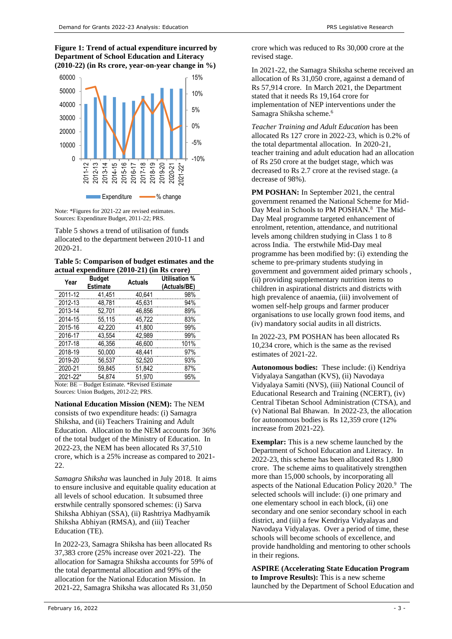



Note: \*Figures for 2021-22 are revised estimates. Sources: Expenditure Budget, 2011-22; PRS.

Table 5 shows a trend of utilisation of funds allocated to the department between 2010-11 and 2020-21.

| Table 5: Comparison of budget estimates and the |
|-------------------------------------------------|
| actual expenditure (2010-21) (in Rs crore)      |

| Year     | <b>Budget</b><br><b>Estimate</b> | <b>Actuals</b> | <b>Utilisation %</b><br>(Actuals/BE) |
|----------|----------------------------------|----------------|--------------------------------------|
| 2011-12  | 41,451                           | 40,641         | 98%                                  |
| 2012-13  | 48,781                           | 45.631         | 94%                                  |
| 2013-14  | 52,701                           | 46,856         | 89%                                  |
| 2014-15  | 55.115                           | 45.722         | 83%                                  |
| 2015-16  | 42.220                           | 41.800         | 99%                                  |
| 2016-17  | 43.554                           | 42.989         | 99%                                  |
| 2017-18  | 46.356                           | 46.600         | 101%                                 |
| 2018-19  | 50.000                           | 48.441         | 97%                                  |
| 2019-20  | 56,537                           | 52,520         | 93%                                  |
| 2020-21  | 59,845                           | 51.842         | 87%                                  |
| 2021-22* | 54.874                           | 51.970         | 95%                                  |

Note: BE – Budget Estimate. \*Revised Estimate Sources: Union Budgets, 2012-22; PRS.

**National Education Mission (NEM):** The NEM consists of two expenditure heads: (i) Samagra Shiksha, and (ii) Teachers Training and Adult Education. Allocation to the NEM accounts for 36% of the total budget of the Ministry of Education. In 2022-23, the NEM has been allocated Rs 37,510 crore, which is a 25% increase as compared to 2021- 22.

*Samagra Shiksha* was launched in July 2018. It aims to ensure inclusive and equitable quality education at all levels of school education. It subsumed three erstwhile centrally sponsored schemes: (i) Sarva Shiksha Abhiyan (SSA), (ii) Rashtriya Madhyamik Shiksha Abhiyan (RMSA), and (iii) Teacher Education (TE).

In 2022-23, Samagra Shiksha has been allocated Rs 37,383 crore (25% increase over 2021-22). The allocation for Samagra Shiksha accounts for 59% of the total departmental allocation and 99% of the allocation for the National Education Mission. In 2021-22, Samagra Shiksha was allocated Rs 31,050

crore which was reduced to Rs 30,000 crore at the revised stage.

In 2021-22, the Samagra Shiksha scheme received an allocation of Rs 31,050 crore, against a demand of Rs 57,914 crore. In March 2021, the Department stated that it needs Rs 19,164 crore for implementation of NEP interventions under the Samagra Shiksha scheme.<sup>6</sup>

*Teacher Training and Adult Education* has been allocated Rs 127 crore in 2022-23, which is 0.2% of the total departmental allocation. In 2020-21, teacher training and adult education had an allocation of Rs 250 crore at the budget stage, which was decreased to Rs 2.7 crore at the revised stage. (a decrease of 98%).

PM POSHAN: In September 2021, the central government renamed the National Scheme for Mid-Day Meal in Schools to PM POSHAN.<sup>8</sup> The Mid-Day Meal programme targeted enhancement of enrolment, retention, attendance, and nutritional levels among children studying in Class 1 to 8 across India. The erstwhile Mid-Day meal programme has been modified by: (i) extending the scheme to pre-primary students studying in government and government aided primary schools , (ii) providing supplementary nutrition items to children in aspirational districts and districts with high prevalence of anaemia, (iii) involvement of women self-help groups and farmer producer organisations to use locally grown food items, and (iv) mandatory social audits in all districts.

In 2022-23, PM POSHAN has been allocated Rs 10,234 crore, which is the same as the revised estimates of 2021-22.

**Autonomous bodies:** These include: (i) Kendriya Vidyalaya Sangathan (KVS), (ii) Navodaya Vidyalaya Samiti (NVS), (iii) National Council of Educational Research and Training (NCERT), (iv) Central Tibetan School Administration (CTSA), and (v) National Bal Bhawan. In 2022-23, the allocation for autonomous bodies is Rs 12,359 crore (12% increase from 2021-22).

**Exemplar:** This is a new scheme launched by the Department of School Education and Literacy.In 2022-23, this scheme has been allocated Rs 1,800 crore.The scheme aims to qualitatively strengthen more than 15,000 schools, by incorporating all aspects of the National Education Policy 2020.<sup>9</sup> The selected schools will include: (i) one primary and one elementary school in each block, (ii) one secondary and one senior secondary school in each district, and (iii) a few Kendriya Vidyalayas and Navodaya Vidyalayas. Over a period of time, these schools will become schools of excellence, and provide handholding and mentoring to other schools in their regions.

**ASPIRE (Accelerating State Education Program to Improve Results):** This is a new scheme launched by the Department of School Education and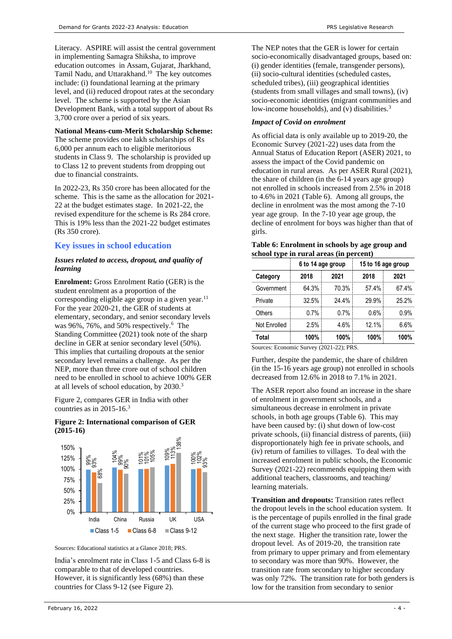Literacy. ASPIRE will assist the central government in implementing Samagra Shiksha, to improve education outcomes in Assam, Gujarat, Jharkhand, Tamil Nadu, and Uttarakhand.<sup>10</sup> The key outcomes include: (i) foundational learning at the primary level, and (ii) reduced dropout rates at the secondary level. The scheme is supported by the Asian Development Bank, with a total support of about Rs 3,700 crore over a period of six years.

# **National Means-cum-Merit Scholarship Scheme:**

The scheme provides one lakh scholarships of Rs 6,000 per annum each to eligible meritorious students in Class 9. The scholarship is provided up to Class 12 to prevent students from dropping out due to financial constraints.

In 2022-23, Rs 350 crore has been allocated for the scheme. This is the same as the allocation for 2021- 22 at the budget estimates stage. In 2021-22, the revised expenditure for the scheme is Rs 284 crore. This is 19% less than the 2021-22 budget estimates (Rs 350 crore).

# **Key issues in school education**

#### *Issues related to access, dropout, and quality of learning*

**Enrolment:** Gross Enrolment Ratio (GER) is the student enrolment as a proportion of the corresponding eligible age group in a given year. $11$ For the year 2020-21, the GER of students at elementary, secondary, and senior secondary levels was 96%, 76%, and 50% respectively.<sup>6</sup> The Standing Committee (2021) took note of the sharp decline in GER at senior secondary level (50%). This implies that curtailing dropouts at the senior secondary level remains a challenge. As per the NEP, more than three crore out of school children need to be enrolled in school to achieve 100% GER at all levels of school education, by 2030.<sup>3</sup>

Figure 2, compares GER in India with other countries as in 2015-16[.](#page-0-1)<sup>3</sup>

# **Figure 2: International comparison of GER (2015-16)**



Sources: Educational statistics at a Glance 2018; PRS.

India's enrolment rate in Class 1-5 and Class 6-8 is comparable to that of developed countries. However, it is significantly less (68%) than these countries for Class 9-12 (see Figure 2).

The NEP notes that the GER is lower for certain socio-economically disadvantaged groups, based on: (i) gender identities (female, transgender persons), (ii) socio-cultural identities (scheduled castes, scheduled tribes), (iii) geographical identities (students from small villages and small towns), (iv) socio-economic identities (migrant communities and low-income households), and (v) disabilities.<sup>3</sup>

#### *Impact of Covid on enrolment*

As official data is only available up to 2019-20, the Economic Survey (2021-22) uses data from the Annual Status of Education Report (ASER) 2021, to assess the impact of the Covid pandemic on education in rural areas. As per ASER Rural (2021), the share of children (in the  $6-14$  vears age group) not enrolled in schools increased from 2.5% in 2018 to 4.6% in 2021 (Table 6).Among all groups, the decline in enrolment was the most among the 7-10 year age group. In the 7-10 year age group, the decline of enrolment for boys was higher than that of girls.

| Table 6: Enrolment in schools by age group and |  |
|------------------------------------------------|--|
| school type in rural areas (in percent)        |  |

|              | 6 to 14 age group |       |       | 15 to 16 age group |
|--------------|-------------------|-------|-------|--------------------|
| Category     | 2018              | 2021  | 2018  | 2021               |
| Government   | 64.3%             | 70.3% | 57.4% | 67.4%              |
| Private      | 32.5%             | 24.4% | 29.9% | 25.2%              |
| Others       | 0.7%              | 0.7%  | 0.6%  | 0.9%               |
| Not Enrolled | 2.5%              | 4.6%  | 12.1% | 6.6%               |
| Total        | 100%              | 100%  | 100%  | 100%               |

Sources: Economic Survey (2021-22); PRS.

Further, despite the pandemic, the share of children (in the 15-16 years age group) not enrolled in schools decreased from 12.6% in 2018 to 7.1% in 2021.

The ASER report also found an increase in the share of enrolment in government schools, and a simultaneous decrease in enrolment in private schools, in both age groups (Table 6). This may have been caused by: (i) shut down of low-cost private schools, (ii) financial distress of parents, (iii) disproportionately high fee in private schools, and (iv) return of families to villages. To deal with the increased enrolment in public schools, the Economic Survey (2021-22) recommends equipping them with additional teachers, classrooms, and teaching/ learning materials.

**Transition and dropouts:** Transition rates reflect the dropout levels in the school education system. It is the percentage of pupils enrolled in the final grade of the current stage who proceed to the first grade of the next stage. Higher the transition rate, lower the dropout level. As of 2019-20, the transition rate from primary to upper primary and from elementary to secondary was more than 90%. However, the transition rate from secondary to higher secondary was only 72%. The transition rate for both genders is low for the transition from secondary to senior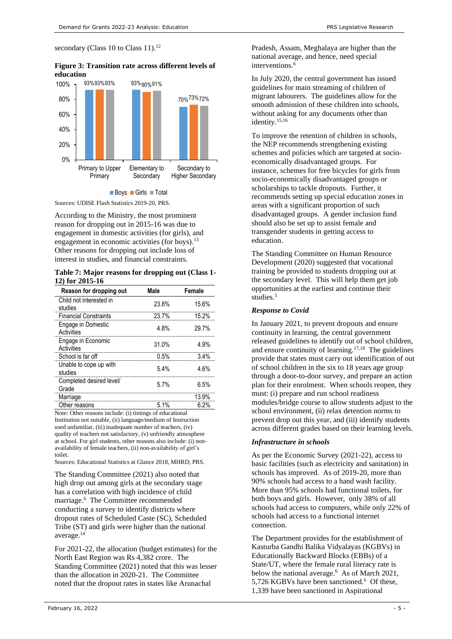secondary (Class 10 to Class 11).<sup>12</sup>

**Figure 3: Transition rate across different levels of education**



■ Boys ■ Girls ■ Total

Sources: UDISE Flash Statistics 2019-20, PRS.

According to the Ministry, the most prominent reason for dropping out in 2015-16 was due to engagement in domestic activities (for girls), and engagement in economic activities (for boys).<sup>13</sup> Other reasons for dropping out include loss of interest in studies, and financial constraints.

**Table 7: Major reasons for dropping out (Class 1- 12) for 2015-16**

| Reason for dropping out            | Male  | Female |
|------------------------------------|-------|--------|
| Child not interested in<br>studies | 23.8% | 15.6%  |
| <b>Financial Constraints</b>       | 23.7% | 15.2%  |
| Engage in Domestic<br>Activities   | 4.8%  | 29.7%  |
| Engage in Economic<br>Activities   | 31.0% | 4.9%   |
| School is far off                  | 0.5%  | 3.4%   |
| Unable to cope up with<br>studies  | 5.4%  | 4.6%   |
| Completed desired level/<br>Grade  | 5.7%  | 6.5%   |
| Marriage                           |       | 13.9%  |
| Other reasons                      | 5.1%  | 6.2%   |

Note: Other reasons include: (i) timings of educational Institution not suitable, (ii) language/medium of Instruction used unfamiliar, (iii) inadequate number of teachers, (iv) quality of teachers not satisfactory, (v) unfriendly atmosphere at school. For girl students, other reasons also include: (i) nonavailability of female teachers, (ii) non-availability of girl's toilet.

Sources: Educational Statistics at Glance 2018, MHRD; PRS.

The Standing Committee (2021) also noted that high drop out among girls at the secondary stage has a correlation with high incidence of child marriage.<sup>6</sup> The Committee recommended conducting a survey to identify districts where dropout rates of Scheduled Caste (SC), Scheduled Tribe (ST) and girls were higher than the national average.<sup>14</sup>

For 2021-22, the allocation (budget estimates) for the North East Region was Rs 4,382 crore. The Standing Committee (2021) noted that this was lesser than the allocation in 2020-21. The Committee noted that the dropout rates in states like Arunachal

Pradesh, Assam, Meghalaya are higher than the national average, and hence, need special interventions.<sup>6</sup>

In July 2020, the central government has issued guidelines for main streaming of children of migrant labourers. The guidelines allow for the smooth admission of these children into schools, without asking for any documents other than identity.<sup>15,16</sup>

To improve the retention of children in schools, the NEP recommends strengthening existing schemes and policies which are targeted at socioeconomically disadvantaged groups. For instance, schemes for free bicycles for girls from socio-economically disadvantaged groups or scholarships to tackle dropouts. Further, it recommends setting up special education zones in areas with a significant proportion of such disadvantaged groups. A gender inclusion fund should also be set up to assist female and transgender students in getting access to education.

The Standing Committee on Human Resource Development (2020) suggested that vocational training be provided to students dropping out at the secondary level. This will help them get job opportunities at the earliest and continue their studies.<sup>5</sup>

#### *Response to Covid*

In January 2021, to prevent dropouts and ensure continuity in learning, the central government released guidelines to identify out of school children, and ensure continuity of learning.<sup>17,18</sup> The guidelines provide that states must carry out identification of out of school children in the six to 18 years age group through a door-to-door survey, and prepare an action plan for their enrolment. When schools reopen, they must: (i) prepare and run school readiness modules/bridge course to allow students adjust to the school environment, (ii) relax detention norms to prevent drop out this year, and (iii) identify students across different grades based on their learning levels.

#### *Infrastructure in schools*

As per the Economic Survey (2021-22), access to basic facilities (such as electricity and sanitation) in schools has improved. As of 2019-20, more than 90% schools had access to a hand wash facility. More than 95% schools had functional toilets, for both boys and girls. However, only 38% of all schools had access to computers, while only 22% of schools had access to a functional internet connection.

The Department provides for the establishment of Kasturba Gandhi Balika Vidyalayas (KGBVs) in Educationally Backward Blocks (EBBs) of a State/UT, where the female rural literacy rate is below the national average.<sup>6</sup> As of March 2021, 5,726 KGBVs have been sanctioned.<sup>6</sup> Of these, 1,339 have been sanctioned in Aspirational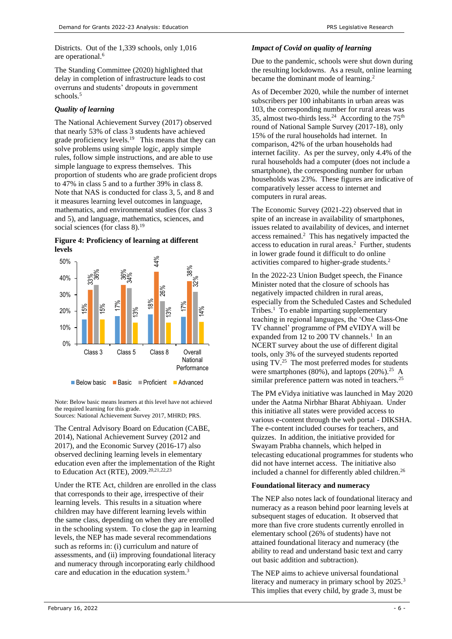Districts. Out of the 1,339 schools, only 1,016 are operational.<sup>6</sup>

The Standing Committee (2020) highlighted that delay in completion of infrastructure leads to cost overruns and students' dropouts in government school[s.](#page-1-0)<sup>5</sup>

# *Quality of learning*

The National Achievement Survey (2017) observed that nearly 53% of class 3 students have achieved grade proficiency levels.<sup>19</sup> This means that they can solve problems using simple logic, apply simple rules, follow simple instructions, and are able to use simple language to express themselves. This proportion of students who are grade proficient drops to 47% in class 5 and to a further 39% in class 8. Note that NAS is conducted for class 3, 5, and 8 and it measures learning level outcomes in language, mathematics, and environmental studies (for class 3 and 5), and language, mathematics, sciences, and social sciences (for class 8).<sup>19</sup>





Note: Below basic means learners at this level have not achieved the required learning for this grade. Sources: National Achievement Survey 2017, MHRD; PRS.

The Central Advisory Board on Education (CABE, 2014), National Achievement Survey (2012 and 2017), and the Economic Survey (2016-17) also observed declining learning levels in elementary education even after the implementation of the Right to Education Act (RTE), 2009.20,21,22,23

Under the RTE Act, children are enrolled in the class that corresponds to their age, irrespective of their learning levels. This results in a situation where children may have different learning levels within the same class, depending on when they are enrolled in the schooling system. To close the gap in learning levels, the NEP has made several recommendations such as reforms in: (i) curriculum and nature of assessments, and (ii) improving foundational literacy and numeracy through incorporating early childhood care and education in the education system.<sup>3</sup>

#### *Impact of Covid on quality of learning*

Due to the pandemic, schools were shut down during the resulting lockdowns. As a result, online learning became the dominant mode of learning.<sup>2</sup>

As of December 2020, while the number of internet subscribers per 100 inhabitants in urban areas was 103, the corresponding number for rural areas was 35, almost two-thirds less.<sup>24</sup> According to the  $75<sup>th</sup>$ round of National Sample Survey (2017-18), only 15% of the rural households had internet. In comparison, 42% of the urban households had internet facility. As per the survey, only 4.4% of the rural households had a computer (does not include a smartphone), the corresponding number for urban households was 23%. These figures are indicative of comparatively lesser access to internet and computers in rural areas.

The Economic Survey (2021-22) observed that in spite of an increase in availability of smartphones, issues related to availability of devices, and internet access remained.<sup>2</sup> This has negatively impacted the access to education in rural areas. $2$  Further, students in lower grade found it difficult to do online activities compared to higher-grade students.<sup>2</sup>

In the 2022-23 Union Budget speech, the Finance Minister noted that the closure of schools has negatively impacted children in rural areas, especially from the Scheduled Castes and Scheduled Tribe[s.](#page-0-2)<sup>1</sup> To enable imparting supplementary teaching in regional languages, the 'One Class-One TV channel' programme of PM eVIDYA will be expanded from [1](#page-0-2)2 to 200 TV channels.<sup>1</sup> In an NCERT survey about the use of different digital tools, only 3% of the surveyed students reported using TV.<sup>25</sup> The most preferred modes for students were smartphones (80%), and laptops  $(20\%)$ .<sup>25</sup> A similar preference pattern was noted in teachers.<sup>25</sup>

The PM eVidya initiative was launched in May 2020 under the Aatma Nirbhar Bharat Abhiyaan. Under this initiative all states were provided access to various e-content through the web portal - DIKSHA. The e-content included courses for teachers, and quizzes. In addition, the initiative provided for Swayam Prabha channels, which helped in telecasting educational programmes for students who did not have internet access. The initiative also included a channel for differently abled children.<sup>26</sup>

#### **Foundational literacy and numeracy**

The NEP also notes lack of foundational literacy and numeracy as a reason behind poor learning levels at subsequent stages of education. It observed that more than five crore students currently enrolled in elementary school (26% of students) have not attained foundational literacy and numeracy (the ability to read and understand basic text and carry out basic addition and subtraction).

The NEP aims to achieve universal foundational literacy and numeracy in primary school by 2025.<sup>3</sup> This implies that every child, by grade 3, must be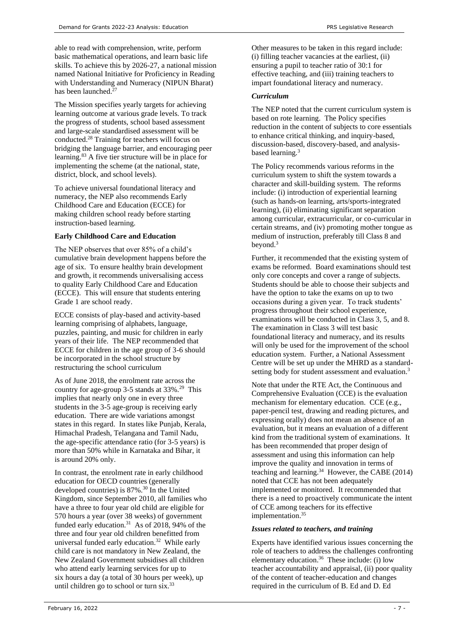able to read with comprehension, write, perform basic mathematical operations, and learn basic life skills. To achieve this by 2026-27, a national mission named National Initiative for Proficiency in Reading with Understanding and Numeracy (NIPUN Bharat) has been launched.<sup>27</sup>

The Mission specifies yearly targets for achieving learning outcome at various grade levels. To track the progress of students, school based assessment and large-scale standardised assessment will be conducted.<sup>28</sup> Training for teachers will focus on bridging the language barrier, and encouraging peer learning.<sup>83</sup> A five tier structure will be in place for implementing the scheme (at the national, state, district, block, and school levels).

To achieve universal foundational literacy and numeracy, the NEP also recommends Early Childhood Care and Education (ECCE) for making children school ready before starting instruction-based learning.

# **Early Childhood Care and Education**

The NEP observes that over 85% of a child's cumulative brain development happens before the age of six. To ensure healthy brain development and growth, it recommends universalising access to quality Early Childhood Care and Education (ECCE). This will ensure that students entering Grade 1 are school ready.

ECCE consists of play-based and activity-based learning comprising of alphabets, language, puzzles, painting, and music for children in early years of their life. The NEP recommended that ECCE for children in the age group of 3-6 should be incorporated in the school structure by restructuring the school curriculum

As of June 2018, the enrolment rate across the country for age-group 3-5 stands at  $33\%$ .<sup>29</sup> This implies that nearly only one in every three students in the 3-5 age-group is receiving early education. There are wide variations amongst states in this regard. In states like Punjab, Kerala, Himachal Pradesh, Telangana and Tamil Nadu, the age-specific attendance ratio (for 3-5 years) is more than 50% while in Karnataka and Bihar, it is around 20% only.

In contrast, the enrolment rate in early childhood education for OECD countries (generally developed countries) is 87%.<sup>30</sup> In the United Kingdom, since September 2010, all families who have a three to four year old child are eligible for 570 hours a year (over 38 weeks) of government funded early education. $31$  As of 2018, 94% of the three and four year old children benefitted from universal funded early education.<sup>32</sup> While early child care is not mandatory in New Zealand, the New Zealand Government subsidises all children who attend early learning services for up to six hours a day (a total of 30 hours per week), up until children go to school or turn  $six$ .<sup>33</sup>

Other measures to be taken in this regard include: (i) filling teacher vacancies at the earliest, (ii) ensuring a pupil to teacher ratio of 30:1 for effective teaching, and (iii) training teachers to impart foundational literacy and numeracy.

#### *Curriculum*

The NEP noted that the current curriculum system is based on rote learning. The Policy specifies reduction in the content of subjects to core essentials to enhance critical thinking, and inquiry-based, discussion-based, discovery-based, and analysisbased learning.<sup>3</sup>

The Policy recommends various reforms in the curriculum system to shift the system towards a character and skill-building system. The reforms include: (i) introduction of experiential learning (such as hands-on learning, arts/sports-integrated learning), (ii) eliminating significant separation among curricular, extracurricular, or co-curricular in certain streams, and (iv) promoting mother tongue as medium of instruction, preferably till Class 8 and beyond.<sup>3</sup>

Further, it recommended that the existing system of exams be reformed. Board examinations should test only core concepts and cover a range of subjects. Students should be able to choose their subjects and have the option to take the exams on up to two occasions during a given year. To track students' progress throughout their school experience, examinations will be conducted in Class 3, 5, and 8. The examination in Class 3 will test basic foundational literacy and numeracy, and its results will only be used for the improvement of the school education system. Further, a National Assessment Centre will be set up under the MHRD as a standardsetting body for student assessment and evaluation.<sup>3</sup>

Note that under the RTE Act, the Continuous and Comprehensive Evaluation (CCE) is the evaluation mechanism for elementary education. CCE (e.g., paper-pencil test, drawing and reading pictures, and expressing orally) does not mean an absence of an evaluation, but it means an evaluation of a different kind from the traditional system of examinations. It has been recommended that proper design of assessment and using this information can help improve the quality and innovation in terms of teaching and learning.<sup>34</sup> However, the CABE (2014) noted that CCE has not been adequately implemented or monitored. It recommended that there is a need to proactively communicate the intent of CCE among teachers for its effective implementation.<sup>35</sup>

# *Issues related to teachers, and training*

Experts have identified various issues concerning the role of teachers to address the challenges confronting elementary education.<sup>36</sup> These include: (i) low teacher accountability and appraisal, (ii) poor quality of the content of teacher-education and changes required in the curriculum of B. Ed and D. Ed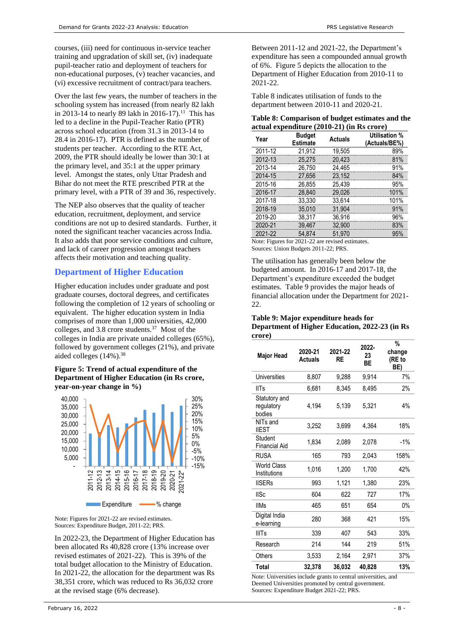courses, (iii) need for continuous in-service teacher training and upgradation of skill set, (iv) inadequate pupil-teacher ratio and deployment of teachers for non-educational purposes, (v) teacher vacancies, and (vi) excessive recruitment of contract/para teachers.

Over the last few years, the number of teachers in the schooling system has increased (from nearly 82 lakh in 2013-14 to nearly 89 lakh in 2016-17).<sup>11</sup> This has led to a decline in the Pupil-Teacher Ratio (PTR) across school education (from 31.3 in 2013-14 to 28.4 in 2016-17). PTR is defined as the number of students per teacher. According to the RTE Act, 2009, the PTR should ideally be lower than 30:1 at the primary level, and 35:1 at the upper primary level. Amongst the states, only Uttar Pradesh and Bihar do not meet the RTE prescribed PTR at the primary level, with a PTR of 39 and 36, respectively.

The NEP also observes that the quality of teacher education, recruitment, deployment, and service conditions are not up to desired standards. Further, it noted the significant teacher vacancies across India. It also adds that poor service conditions and culture, and lack of career progression amongst teachers affects their motivation and teaching quality.

# **Department of Higher Education**

Higher education includes under graduate and post graduate courses, doctoral degrees, and certificates following the completion of 12 years of schooling or equivalent. The higher education system in India comprises of more than 1,000 universities, 42,000 colleges, and 3.8 crore students.<sup>37</sup> Most of the colleges in India are private unaided colleges (65%), followed by government colleges (21%), and private aided colleges (14%).<sup>38</sup>

#### <span id="page-7-0"></span>**Figure 5: Trend of actual expenditure of the Department of Higher Education (in Rs crore, year-on-year change in %)**



Note: Figures for 2021-22 are revised estimates. Sources: Expenditure Budget, 2011-22; PRS.

In 2022-23, the Department of Higher Education has been allocated Rs 40,828 crore (13% increase over revised estimates of 2021-22). This is 39% of the total budget allocation to the Ministry of Education. In 2021-22, the allocation for the department was Rs 38,351 crore, which was reduced to Rs 36,032 crore at the revised stage (6% decrease).

Between 2011-12 and 2021-22, the Department's expenditure has seen a compounded annual growth of 6%. [Figure 5](#page-7-0) depicts the allocation to the Department of Higher Education from 2010-11 to 2021-22.

[Table 8](#page-7-1) indicates utilisation of funds to the department between 2010-11 and 2020-21.

<span id="page-7-1"></span>

| Table 8: Comparison of budget estimates and the |
|-------------------------------------------------|
| actual expenditure (2010-21) (in Rs crore)      |

| Year    | <b>Budget</b><br><b>Estimate</b> | <b>Actuals</b> | <b>Utilisation %</b><br>(Actuals/BE%) |
|---------|----------------------------------|----------------|---------------------------------------|
| 2011-12 | 21,912                           | 19.505         | 89%                                   |
| 2012-13 | 25.275                           | 20.423         | 81%                                   |
| 2013-14 | 26,750                           | 24,465         | 91%                                   |
| 2014-15 | 27,656                           | 23,152         | 84%                                   |
| 2015-16 | 26,855                           | 25.439         | 95%                                   |
| 2016-17 | 28.840                           | 29.026         | 101%                                  |
| 2017-18 | 33,330                           | 33.614         | 101%                                  |
| 2018-19 | 35,010                           | 31,904         | 91%                                   |
| 2019-20 | 38.317                           | 36.916         | 96%                                   |
| 2020-21 | 39,467                           | 32,900         | 83%                                   |
| 2021-22 | 54.874                           | 51.970         | 95%                                   |

Note: Figures for 2021-22 are revised estimates. Sources: Union Budgets 2011-22; PRS.

The utilisation has generally been below the budgeted amount. In 2016-17 and 2017-18, the Department's expenditure exceeded the budget estimates. Table 9 provides the major heads of financial allocation under the Department for 2021- 22.

#### **Table 9: Major expenditure heads for Department of Higher Education, 2022-23 (in Rs crore)**

| Major Head                            | 2020-21<br>Actuals | 2021-22<br>RE | 2022-<br>23<br>ВE | %<br>change<br>(RE to<br>BE) |
|---------------------------------------|--------------------|---------------|-------------------|------------------------------|
| Universities                          | 8,807              | 9,288         | 9,914             | 7%                           |
| <b>IITs</b>                           | 6,681              | 8,345         | 8,495             | 2%                           |
| Statutory and<br>regulatory<br>bodies | 4,194              | 5,139         | 5,321             | 4%                           |
| NITs and<br><b>IIEST</b>              | 3,252              | 3,699         | 4.364             | 18%                          |
| <b>Student</b><br>Financial Aid       | 1,834              | 2,089         | 2,078             | $-1%$                        |
| RUSA                                  | 165                | 793           | 2,043             | 158%                         |
| <b>World Class</b><br>Institutions    | 1,016              | 1,200         | 1,700             | 42%                          |
| <b>IISERs</b>                         | 993                | 1,121         | 1,380             | 23%                          |
| <b>IISc</b>                           | 604                | 622           | 727               | 17%                          |
| <b>IIMs</b>                           | 465                | 651           | 654               | 0%                           |
| Digital India<br>e-learning           | 280                | 368           | 421               | 15%                          |
| <b>IIITs</b>                          | 339                | 407           | 543               | 33%                          |
| Research                              | 214                | 144           | 219               | 51%                          |
| Others                                | 3,533              | 2,164         | 2,971             | 37%                          |
| <b>Total</b>                          | 32,378             | 36,032        | 40,828            | 13%                          |

Note: Universities include grants to central universities, and Deemed Universities promoted by central government. Sources: Expenditure Budget 2021-22; PRS.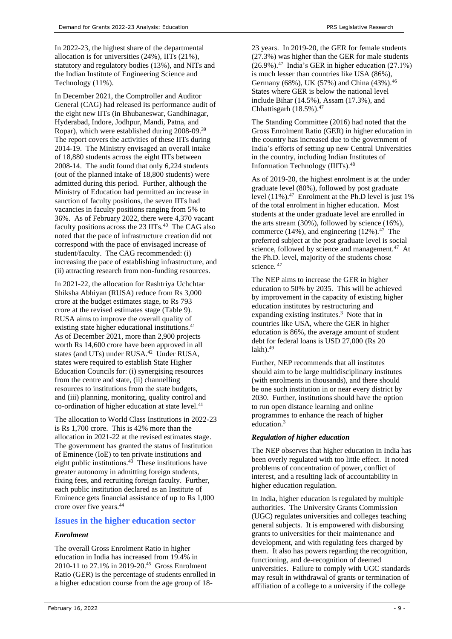In 2022-23, the highest share of the departmental allocation is for universities (24%), IITs (21%), statutory and regulatory bodies (13%), and NITs and the Indian Institute of Engineering Science and Technology (11%).

In December 2021, the Comptroller and Auditor General (CAG) had released its performance audit of the eight new IITs (in Bhubaneswar, Gandhinagar, Hyderabad, Indore, Jodhpur, Mandi, Patna, and Ropar), which were established during 2008-09.<sup>39</sup> The report covers the activities of these IITs during 2014-19. The Ministry envisaged an overall intake of 18,880 students across the eight IITs between 2008-14. The audit found that only 6,224 students (out of the planned intake of 18,800 students) were admitted during this period. Further, although the Ministry of Education had permitted an increase in sanction of faculty positions, the seven IITs had vacancies in faculty positions ranging from 5% to 36%. As of February 2022, there were 4,370 vacant faculty positions across the 23 IITs.<sup>40</sup> The CAG also noted that the pace of infrastructure creation did not correspond with the pace of envisaged increase of student/faculty. The CAG recommended: (i) increasing the pace of establishing infrastructure, and (ii) attracting research from non-funding resources.

In 2021-22, the allocation for Rashtriya Uchchtar Shiksha Abhiyan (RUSA) reduce from Rs 3,000 crore at the budget estimates stage, to Rs 793 crore at the revised estimates stage (Table 9). RUSA aims to improve the overall quality of existing state higher educational institutions.<sup>41</sup> As of December 2021, more than 2,900 projects worth Rs 14,600 crore have been approved in all states (and UTs) under RUSA.<sup>42</sup> Under RUSA, states were required to establish State Higher Education Councils for: (i) synergising resources from the centre and state, (ii) channelling resources to institutions from the state budgets, and (iii) planning, monitoring, quality control and co-ordination of higher education at state level.<sup>[41](#page-8-0)</sup>

The allocation to World Class Institutions in 2022-23 is Rs 1,700 crore. This is 42% more than the allocation in 2021-22 at the revised estimates stage. The government has granted the status of Institution of Eminence (IoE) to ten private institutions and eight public institutions.<sup>43</sup> These institutions have greater autonomy in admitting foreign students, fixing fees, and recruiting foreign faculty. Further, each public institution declared as an Institute of Eminence gets financial assistance of up to Rs 1,000 crore over five years.<sup>44</sup>

# **Issues in the higher education sector**

# *Enrolment*

The overall Gross Enrolment Ratio in higher education in India has increased from 19.4% in 2010-11 to 27.1% in 2019-20.<sup>45</sup> Gross Enrolment Ratio (GER) is the percentage of students enrolled in a higher education course from the age group of 1823 years. In 2019-20, the GER for female students (27.3%) was higher than the GER for male students  $(26.9\%)$ .<sup>47</sup> India's GER in higher education  $(27.1\%)$ is much lesser than countries like USA (86%), Germany (68%), UK (57%) and China (43%).<sup>46</sup> States where GER is below the national level include Bihar (14.5%), Assam (17.3%), and Chhattisgarh (18.5%). 47

The Standing Committee (2016) had noted that the Gross Enrolment Ratio (GER) in higher education in the country has increased due to the government of India's efforts of setting up new Central Universities in the country, including Indian Institutes of Information Technology (IIITs). 48

<span id="page-8-1"></span>As of 2019-20, the highest enrolment is at the under graduate level (80%), followed by post graduate level  $(11\%)$ .<sup>47</sup> Enrolment at the Ph.D level is just 1% of the total enrolment in higher education. Most students at the under graduate level are enrolled in the arts stream (30%), followed by science (16%), commerce  $(14\%)$ , and engineering  $(12\%)$ .<sup>47</sup> The preferred subject at the post graduate level is social science, followed by science and management.<sup>47</sup> At the Ph.D. level, majority of the students chose science.  $47$ 

The NEP aims to increase the GER in higher education to 50% by 2035. This will be achieved by improvement in the capacity of existing higher education institutes by restructuring and expanding existing institutes.<sup>3</sup> Note that in countries like USA, where the GER in higher education is 86%, the average amount of student debt for federal loans is USD 27,000 (Rs 20 lakh). 49

<span id="page-8-0"></span>Further, NEP recommends that all institutes should aim to be large multidisciplinary institutes (with enrolments in thousands), and there should be one such institution in or near every district by 2030. Further, institutions should have the option to run open distance learning and online programmes to enhance the reach of higher education.<sup>3</sup>

# *Regulation of higher education*

The NEP observes that higher education in India has been overly regulated with too little effect. It noted problems of concentration of power, conflict of interest, and a resulting lack of accountability in higher education regulation.

In India, higher education is regulated by multiple authorities. The University Grants Commission (UGC) regulates universities and colleges teaching general subjects. It is empowered with disbursing grants to universities for their maintenance and development, and with regulating fees charged by them. It also has powers regarding the recognition, functioning, and de-recognition of deemed universities. Failure to comply with UGC standards may result in withdrawal of grants or termination of affiliation of a college to a university if the college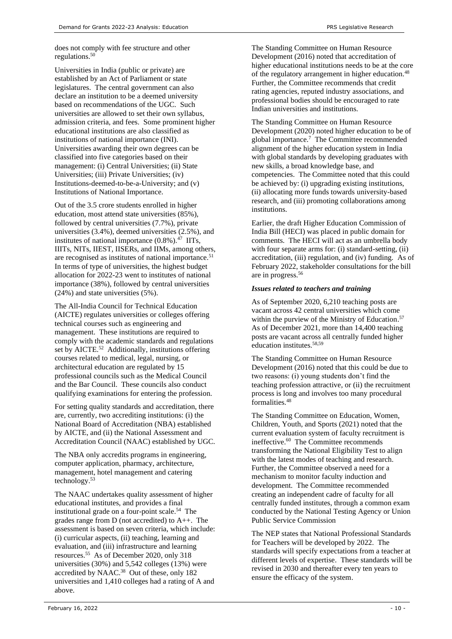does not comply with fee structure and other regulations. $50$ 

Universities in India (public or private) are established by an Act of Parliament or state legislatures. The central government can also declare an institution to be a deemed university based on recommendations of the UGC. Such universities are allowed to set their own syllabus, admission criteria, and fees. Some prominent higher educational institutions are also classified as institutions of national importance (INI). Universities awarding their own degrees can be classified into five categories based on their management: (i) Central Universities; (ii) State Universities; (iii) Private Universities; (iv) Institutions-deemed-to-be-a-University; and (v) Institutions of National Importance.

Out of the 3.5 crore students enrolled in higher education, most attend state universities (85%), followed by central universities (7.7%), private universities (3.4%), deemed universities (2.5%), and institutes of national importance  $(0.8\%)$ .<sup>47</sup> IITs, IIITs, NITs, IIEST, IISERs, and IIMs, among others, are recognised as institutes of national importance.<sup>51</sup> In terms of type of universities, the highest budget allocation for 2022-23 went to institutes of national importance (38%), followed by central universities (24%) and state universities (5%).

The All-India Council for Technical Education (AICTE) regulates universities or colleges offering technical courses such as engineering and management. These institutions are required to comply with the academic standards and regulations set by AICTE.<sup>52</sup> Additionally, institutions offering courses related to medical, legal, nursing, or architectural education are regulated by 15 professional councils such as the Medical Council and the Bar Council. These councils also conduct qualifying examinations for entering the profession.

For setting quality standards and accreditation, there are, currently, two accrediting institutions: (i) the National Board of Accreditation (NBA) established by AICTE, and (ii) the National Assessment and Accreditation Council (NAAC) established by UGC.

The NBA only accredits programs in engineering, computer application, pharmacy, architecture, management, hotel management and catering technology.<sup>53</sup> 

The NAAC undertakes quality assessment of higher educational institutes, and provides a final institutional grade on a four-point scale.<sup>54</sup> The grades range from D (not accredited) to A++. The assessment is based on seven criteria, which include: (i) curricular aspects, (ii) teaching, learning and evaluation, and (iii) infrastructure and learning resources.<sup>55</sup> As of December 2020, only 318 universities (30%) and 5,542 colleges (13%) were accredited by NAAC. 38 Out of these, only 182 universities and 1,410 colleges had a rating of A and above.

The Standing Committee on Human Resource Development (2016) noted that accreditation of higher educational institutions needs to be at the core of the regulatory arrangement in higher education.<sup>[48](#page-8-1)</sup> Further, the Committee recommends that credit rating agencies, reputed industry associations, and professional bodies should be encouraged to rate Indian universities and institutions.

The Standing Committee on Human Resource Development (2020) noted higher education to be of global importance. <sup>7</sup> The Committee recommended alignment of the higher education system in India with global standards by developing graduates with new skills, a broad knowledge base, and competencies. The Committee noted that this could be achieved by: (i) upgrading existing institutions, (ii) allocating more funds towards university-based research, and (iii) promoting collaborations among institutions.

Earlier, the draft Higher Education Commission of India Bill (HECI) was placed in public domain for comments. The HECI will act as an umbrella body with four separate arms for: (i) standard-setting, (ii) accreditation, (iii) regulation, and (iv) funding. As of February 2022, stakeholder consultations for the bill are in progress.<sup>56</sup>

# *Issues related to teachers and training*

As of September 2020, 6,210 teaching posts are vacant across 42 central universities which come within the purview of the Ministry of Education. 57 As of December 2021, more than 14,400 teaching posts are vacant across all centrally funded higher education institutes.58,59

The Standing Committee on Human Resource Development (2016) noted that this could be due to two reasons: (i) young students don't find the teaching profession attractive, or (ii) the recruitment process is long and involves too many procedural formalities.<sup>[48](#page-8-1)</sup>

The Standing Committee on Education, Women, Children, Youth, and Sports (2021) noted that the current evaluation system of faculty recruitment is ineffective.<sup>60</sup> The Committee recommends transforming the National Eligibility Test to align with the latest modes of teaching and research. Further, the Committee observed a need for a mechanism to monitor faculty induction and development. The Committee recommended creating an independent cadre of faculty for all centrally funded institutes, through a common exam conducted by the National Testing Agency or Union Public Service Commission

The NEP states that National Professional Standards for Teachers will be developed by 2022. The standards will specify expectations from a teacher at different levels of expertise. These standards will be revised in 2030 and thereafter every ten years to ensure the efficacy of the system.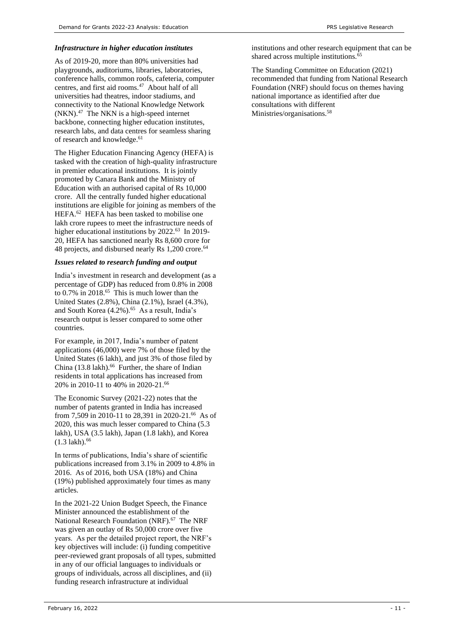# *Infrastructure in higher education institutes*

As of 2019-20, more than 80% universities had playgrounds, auditoriums, libraries, laboratories, conference halls, common roofs, cafeteria, computer centres, and first aid rooms.<sup>47</sup> About half of all universities had theatres, indoor stadiums, and connectivity to the National Knowledge Network (NKN).<sup>47</sup> The NKN is a high-speed internet backbone, connecting higher education institutes, research labs, and data centres for seamless sharing of research and knowledge.<sup>61</sup>

The Higher Education Financing Agency (HEFA) is tasked with the creation of high-quality infrastructure in premier educational institutions. It is jointly promoted by Canara Bank and the Ministry of Education with an authorised capital of Rs 10,000 crore. All the centrally funded higher educational institutions are eligible for joining as members of the HEFA.<sup>62</sup> HEFA has been tasked to mobilise one lakh crore rupees to meet the infrastructure needs of higher educational institutions by 2022.<sup>63</sup> In 2019-20, HEFA has sanctioned nearly Rs 8,600 crore for 48 projects, and disbursed nearly Rs 1,200 crore.<sup>64</sup>

# *Issues related to research funding and output*

India's investment in research and development (as a percentage of GDP) has reduced from 0.8% in 2008 to  $0.7\%$  in 2018.<sup>65</sup> This is much lower than the United States (2.8%), China (2.1%), Israel (4.3%), and South Korea (4.2%).<sup>65</sup> As a result, India's research output is lesser compared to some other countries.

For example, in 2017, India's number of patent applications (46,000) were 7% of those filed by the United States (6 lakh), and just 3% of those filed by China  $(13.8 \text{ lakh})$ .<sup>66</sup> Further, the share of Indian residents in total applications has increased from 20% in 2010-11 to 40% in 2020-21.<sup>66</sup>

The Economic Survey (2021-22) notes that the number of patents granted in India has increased from 7,509 in 2010-11 to 28,391 in 2020-21.<sup>66</sup> As of 2020, this was much lesser compared to China (5.3 lakh), USA (3.5 lakh), Japan (1.8 lakh), and Korea  $(1.3$  lakh $).$ <sup>66</sup>

In terms of publications, India's share of scientific publications increased from 3.1% in 2009 to 4.8% in 2016. As of 2016, both USA (18%) and China (19%) published approximately four times as many articles.

In the 2021-22 Union Budget Speech, the Finance Minister announced the establishment of the National Research Foundation (NRF).<sup>67</sup> The NRF was given an outlay of Rs 50,000 crore over five years. As per the detailed project report, the NRF's key objectives will include: (i) funding competitive peer-reviewed grant proposals of all types, submitted in any of our official languages to individuals or groups of individuals, across all disciplines, and (ii) funding research infrastructure at individual

institutions and other research equipment that can be shared across multiple institutions.<sup>65</sup>

The Standing Committee on Education (2021) recommended that funding from National Research Foundation (NRF) should focus on themes having national importance as identified after due consultations with different Ministries/organisations. 58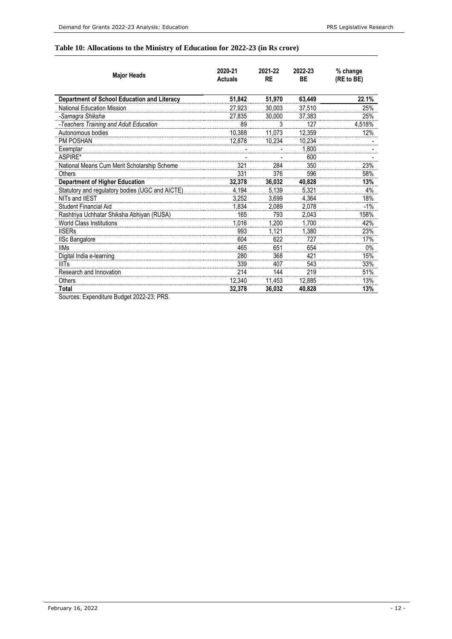# **Table 10: Allocations to the Ministry of Education for 2022-23 (in Rs crore)**

| <b>Major Heads</b>                              | 2020-21<br><b>Actuals</b> | 2021-22<br><b>RE</b> | 2022-23<br><b>BE</b> | % change<br>(RE to BE) |
|-------------------------------------------------|---------------------------|----------------------|----------------------|------------------------|
| Department of School Education and Literacy     | 51,842                    | 51,970               | 63,449               | 22.1%                  |
| <b>National Education Mission</b>               | 27,923                    | 30,003               | 37,510               | 25%                    |
| -Samagra Shiksha                                | 27,835                    | 30,000               | 37.383               | 25%                    |
| -Teachers Training and Adult Education          | 89                        | 3                    | 127                  | 4,518%                 |
| Autonomous bodies                               | 10,388                    | 11,073               | 12,359               | 12%                    |
| <b>PM POSHAN</b>                                | 12.878                    | 10,234               | 10.234               |                        |
| Exemplar                                        |                           |                      | 1.800                |                        |
| ASPIRE*                                         |                           |                      | 600                  |                        |
| National Means Cum Merit Scholarship Scheme     | 321                       | 284                  | 350                  | 23%                    |
| Others                                          | 331                       | 376                  | 596                  | 58%                    |
| <b>Department of Higher Education</b>           | 32,378                    | 36,032               | 40,828               | 13%                    |
| Statutory and regulatory bodies (UGC and AICTE) | 4.194                     | 5,139                | 5.321                | 4%                     |
| NITs and IIEST                                  | 3.252                     | 3.699                | 4.364                | 18%                    |
| <b>Student Financial Aid</b>                    | 1,834                     | 2,089                | 2,078                | $-1%$                  |
| Rashtriya Uchhatar Shiksha Abhiyan (RUSA)       | 165                       | 793                  | 2,043                | 158%                   |
| <b>World Class Institutions</b>                 | 1,016                     | 1.200                | 1.700                | 42%                    |
| <b>IISERs</b>                                   | 993                       | 1,121                | 1,380                | 23%                    |
| <b>IISc Bangalore</b>                           | 604                       | 622                  | 727                  | 17%                    |
| <b>IIMs</b>                                     | 465                       | 651                  | 654                  | $0\%$                  |
| Digital India e-learning                        | 280                       | 368                  | 421                  | 15%                    |
| <b>IIITs</b>                                    | 339                       | 407                  | 543                  | 33%                    |
| Research and Innovation                         | 214                       | 144                  | 219                  | 51%                    |
| Others                                          | 12.340                    | 11,453               | 12,885               | 13%                    |
| Total                                           | 32.378                    | 36.032               | 40.828               | 13%                    |

Sources: Expenditure Budget 2022-23; PRS.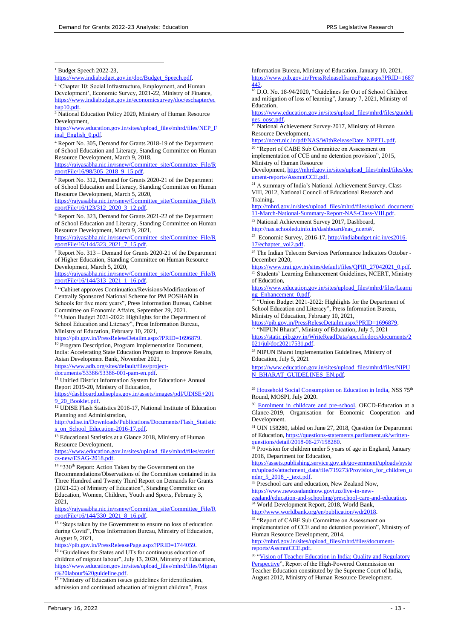$1$  Budget Speech 2022-23,

[https://www.indiabudget.gov.in/doc/Budget\\_Speech.pdf.](https://www.indiabudget.gov.in/doc/Budget_Speech.pdf)

<sup>2</sup> 'Chapter 10: Social Infrastructure, Employment, and Human Development', Economic Survey, 2021-22, Ministry of Finance, [https://www.indiabudget.gov.in/economicsurvey/doc/eschapter/ec](https://www.indiabudget.gov.in/economicsurvey/doc/eschapter/echap10.pdf) [hap10.pdf.](https://www.indiabudget.gov.in/economicsurvey/doc/eschapter/echap10.pdf)

<sup>3</sup> National Education Policy 2020, Ministry of Human Resource Development,

[https://www.education.gov.in/sites/upload\\_files/mhrd/files/NEP\\_F](https://www.education.gov.in/sites/upload_files/mhrd/files/NEP_Final_English_0.pdf) [inal\\_English\\_0.pdf.](https://www.education.gov.in/sites/upload_files/mhrd/files/NEP_Final_English_0.pdf)

<sup>4</sup> Report No. 305, Demand for Grants 2018-19 of the Department of School Education and Literacy, Standing Committee on Human Resource Development, March 9, 2018,

[https://rajyasabha.nic.in/rsnew/Committee\\_site/Committee\\_File/R](https://rajyasabha.nic.in/rsnew/Committee_site/Committee_File/ReportFile/16/98/305_2018_9_15.pdf) [eportFile/16/98/305\\_2018\\_9\\_15.pdf.](https://rajyasabha.nic.in/rsnew/Committee_site/Committee_File/ReportFile/16/98/305_2018_9_15.pdf)

<sup>5</sup> Report No. 312, Demand for Grants 2020-21 of the Department of School Education and Literacy, Standing Committee on Human Resource Development, March 5, 2020,

[https://rajyasabha.nic.in/rsnew/Committee\\_site/Committee\\_File/R](https://rajyasabha.nic.in/rsnew/Committee_site/Committee_File/ReportFile/16/123/312_2020_3_12.pdf) [eportFile/16/123/312\\_2020\\_3\\_12.pdf.](https://rajyasabha.nic.in/rsnew/Committee_site/Committee_File/ReportFile/16/123/312_2020_3_12.pdf)

<sup>6</sup> Report No. 323, Demand for Grants 2021-22 of the Department of School Education and Literacy, Standing Committee on Human Resource Development, March 9, 2021,

[https://rajyasabha.nic.in/rsnew/Committee\\_site/Committee\\_File/R](https://rajyasabha.nic.in/rsnew/Committee_site/Committee_File/ReportFile/16/144/323_2021_7_15.pdf) [eportFile/16/144/323\\_2021\\_7\\_15.pdf.](https://rajyasabha.nic.in/rsnew/Committee_site/Committee_File/ReportFile/16/144/323_2021_7_15.pdf)

<sup>7</sup> Report No. 313 – Demand for Grants 2020-21 of the Department of Higher Education, Standing Committee on Human Resource Development, March 5, 2020,

[https://rajyasabha.nic.in/rsnew/Committee\\_site/Committee\\_File/R](https://rajyasabha.nic.in/rsnew/Committee_site/Committee_File/ReportFile/16/144/313_2021_1_16.pdf) [eportFile/16/144/313\\_2021\\_1\\_16.pdf.](https://rajyasabha.nic.in/rsnew/Committee_site/Committee_File/ReportFile/16/144/313_2021_1_16.pdf)

8 "Cabinet approves Continuation/Revisions/Modifications of Centrally Sponsored National Scheme for PM POSHAN in Schools for five more years", Press Information Bureau, Cabinet Committee on Economic Affairs, September 29, 2021.

<sup>9</sup> "Union Budget 2021-2022: Highlights for the Department of School Education and Literacy", Press Information Bureau, Ministry of Education, February 10, 2021,

[https://pib.gov.in/PressReleseDetailm.aspx?PRID=1696879.](https://pib.gov.in/PressReleseDetailm.aspx?PRID=1696879)

<sup>10</sup> Program Description, Program Implementation Document, India: Accelerating State Education Program to Improve Results, Asian Development Bank, November 2021,

[https://www.adb.org/sites/default/files/project](https://www.adb.org/sites/default/files/project-documents/53386/53386-001-pam-en.pdf)[documents/53386/53386-001-pam-en.pdf.](https://www.adb.org/sites/default/files/project-documents/53386/53386-001-pam-en.pdf)

<sup>11</sup> Unified District Information System for Education+ Annual Report 2019-20, Ministry of Education,

[https://dashboard.udiseplus.gov.in/assets/images/pdf/UDISE+201](https://dashboard.udiseplus.gov.in/assets/images/pdf/UDISE+2019_20_Booklet.pdf) 9<sup>20</sup> Booklet.pdf.

<sup>12</sup> UDISE Flash Statistics 2016-17, National Institute of Education Planning and Administration,

[http://udise.in/Downloads/Publications/Documents/Flash\\_Statistic](http://udise.in/Downloads/Publications/Documents/Flash_Statistics_on_School_Education-2016-17.pdf) s\_on\_School\_Education-2016-17.pdf.

<sup>13</sup> Educational Statistics at a Glance 2018, Ministry of Human Resource Development,

[https://www.education.gov.in/sites/upload\\_files/mhrd/files/statisti](https://www.education.gov.in/sites/upload_files/mhrd/files/statistics-new/ESAG-2018.pdf) [cs-new/ESAG-2018.pdf.](https://www.education.gov.in/sites/upload_files/mhrd/files/statistics-new/ESAG-2018.pdf)

<sup>14</sup> "330<sup>th</sup> Report: Action Taken by the Government on the Recommendations/Observations of the Committee contained in its Three Hundred and Twenty Third Report on Demands for Grants (2021-22) of Ministry of Education", Standing Committee on Education, Women, Children, Youth and Sports, February 3, 2021,

[https://rajyasabha.nic.in/rsnew/Committee\\_site/Committee\\_File/R](https://rajyasabha.nic.in/rsnew/Committee_site/Committee_File/ReportFile/16/144/330_2021_8_16.pdf) [eportFile/16/144/330\\_2021\\_8\\_16.pdf.](https://rajyasabha.nic.in/rsnew/Committee_site/Committee_File/ReportFile/16/144/330_2021_8_16.pdf)

<sup>15</sup> "Steps taken by the Government to ensure no loss of education during Covid", Press Information Bureau, Ministry of Education, August 9, 2021,

[https://pib.gov.in/PressReleasePage.aspx?PRID=1744059.](https://pib.gov.in/PressReleasePage.aspx?PRID=1744059) <sup>16</sup> "Guidelines for States and UTs for continuous education of children of migrant labour", July 13, 2020, Ministry of Education, [https://www.education.gov.in/sites/upload\\_files/mhrd/files/Migran](https://www.education.gov.in/sites/upload_files/mhrd/files/Migrant%20labour%20guideline.pdf) [t%20labour%20guideline.pdf.](https://www.education.gov.in/sites/upload_files/mhrd/files/Migrant%20labour%20guideline.pdf)

<sup>17</sup> "Ministry of Education issues guidelines for identification, admission and continued education of migrant children", Press Information Bureau, Ministry of Education, January 10, 2021, [https://www.pib.gov.in/PressReleaseIframePage.aspx?PRID=1687](https://www.pib.gov.in/PressReleaseIframePage.aspx?PRID=1687442) [442.](https://www.pib.gov.in/PressReleaseIframePage.aspx?PRID=1687442) 

<sup>18</sup> D.O. No. 18-94/2020, "Guidelines for Out of School Children and mitigation of loss of learning", January 7, 2021, Ministry of Education,

[https://www.education.gov.in/sites/upload\\_files/mhrd/files/guideli](https://www.education.gov.in/sites/upload_files/mhrd/files/guidelines_oosc.pdf) [nes\\_oosc.pdf.](https://www.education.gov.in/sites/upload_files/mhrd/files/guidelines_oosc.pdf)

<sup>19</sup> National Achievement Survey-2017, Ministry of Human Resource Development,

[https://ncert.nic.in/pdf/NAS/WithReleaseDate\\_NPPTL.pdf.](https://ncert.nic.in/pdf/NAS/WithReleaseDate_NPPTL.pdf) <sup>20</sup> "Report of CABE Sub Committee on Assessment on

implementation of CCE and no detention provision", 2015, Ministry of Human Resource

Development, [http://mhrd.gov.in/sites/upload\\_files/mhrd/files/doc](http://mhrd.gov.in/sites/upload_files/mhrd/files/document-reports/AssmntCCE.pdf) [ument-reports/AssmntCCE.pdf.](http://mhrd.gov.in/sites/upload_files/mhrd/files/document-reports/AssmntCCE.pdf)

<sup>21</sup> A summary of India's National Achievement Survey, Class VIII, 2012, National Council of Educational Research and Training,

[http://mhrd.gov.in/sites/upload\\_files/mhrd/files/upload\\_document/](http://mhrd.gov.in/sites/upload_files/mhrd/files/upload_document/11-March-National-Summary-Report-NAS-Class-VIII.pdf) [11-March-National-Summary-Report-NAS-Class-VIII.pdf.](http://mhrd.gov.in/sites/upload_files/mhrd/files/upload_document/11-March-National-Summary-Report-NAS-Class-VIII.pdf)

<sup>22</sup> National Achievement Survey 2017, Dashboard,

http://nas.schooleduinfo.in/dashboard/nas\_ncert#

<sup>23</sup> Economic Survey, 2016-17[, http://indiabudget.nic.in/es2016-](http://indiabudget.nic.in/es2016-17/echapter_vol2.pdf) [17/echapter\\_vol2.pdf.](http://indiabudget.nic.in/es2016-17/echapter_vol2.pdf)

<sup>24</sup> The Indian Telecom Services Performance Indicators October - December 2020,

[https://www.trai.gov.in/sites/default/files/QPIR\\_27042021\\_0.pdf.](https://www.trai.gov.in/sites/default/files/QPIR_27042021_0.pdf) <sup>25</sup> Students' Learning Enhancement Guidelines, NCERT, Ministry of Education,

[https://www.education.gov.in/sites/upload\\_files/mhrd/files/Learni](https://www.education.gov.in/sites/upload_files/mhrd/files/Learning_Enhancement_0.pdf) [ng\\_Enhancement\\_0.pdf.](https://www.education.gov.in/sites/upload_files/mhrd/files/Learning_Enhancement_0.pdf)

<sup>26</sup> "Union Budget 2021-2022: Highlights for the Department of School Education and Literacy", Press Information Bureau, Ministry of Education, February 10, 2021,

[https://pib.gov.in/PressReleseDetailm.aspx?PRID=1696879.](https://pib.gov.in/PressReleseDetailm.aspx?PRID=1696879) <sup>27</sup> "NIPUN Bharat", Ministry of Education, July 5, 2021

[https://static.pib.gov.in/WriteReadData/specificdocs/documents/2](https://static.pib.gov.in/WriteReadData/specificdocs/documents/2021/jul/doc20217531.pdf)  $021$ /jul/doc $20217531$ .pdf.

<sup>28</sup> NIPUN Bharat Implementation Guidelines, Ministry of Education, July 5, 2021

[https://www.education.gov.in/sites/upload\\_files/mhrd/files/NIPU](https://www.education.gov.in/sites/upload_files/mhrd/files/NIPUN_BHARAT_GUIDELINES_EN.pdf) [N\\_BHARAT\\_GUIDELINES\\_EN.pdf.](https://www.education.gov.in/sites/upload_files/mhrd/files/NIPUN_BHARAT_GUIDELINES_EN.pdf)

<sup>29</sup> [Household Social Consumption on Education in India,](https://www.mospi.gov.in/documents/213904/301563/KI_Education_75th_Final1602590967945.pdf/4d0dcdc4-a8f0-0795-df06-be25f2b3a6f7) NSS 75<sup>th</sup> Round, MOSPI, July 2020.

<sup>30</sup> [Enrolment in childcare and pre-school,](https://www.oecd.org/els/soc/PF3_2_Enrolment_childcare_preschool.pdf) OECD-Education at a Glance-2019, Organisation for Economic Cooperation and Development.

<sup>31</sup> UIN 158280, tabled on June 27, 2018, Question for Department of Education[, https://questions-statements.parliament.uk/written](https://questions-statements.parliament.uk/written-questions/detail/2018-06-27/158280)[questions/detail/2018-06-27/158280.](https://questions-statements.parliament.uk/written-questions/detail/2018-06-27/158280)

<sup>32</sup> Provision for children under 5 years of age in England, January 2018, Department for Education,

[https://assets.publishing.service.gov.uk/government/uploads/syste](https://assets.publishing.service.gov.uk/government/uploads/system/uploads/attachment_data/file/719273/Provision_for_children_under_5_2018_-_text.pdf) [m/uploads/attachment\\_data/file/719273/Provision\\_for\\_children\\_u](https://assets.publishing.service.gov.uk/government/uploads/system/uploads/attachment_data/file/719273/Provision_for_children_under_5_2018_-_text.pdf) nder 5\_2018 - text.pdf.

<sup>33</sup> Preschool care and education, New Zealand Now,

[https://www.newzealandnow.govt.nz/live-in-new](https://www.newzealandnow.govt.nz/live-in-new-zealand/education-and-schooling/preschool-care-and-education)zealand/education-and-schooling/preschool-care-and- $\frac{\text{realand/education- and -suboring process}}{34}$  World Development Report, 2018, World Bank,

[http://www.worldbank.org/en/publication/wdr2018.](http://www.worldbank.org/en/publication/wdr2018) 

<sup>35</sup> "Report of CABE Sub Committee on Assessment on implementation of CCE and no detention provision", Ministry of Human Resource Development, 2014,

[http://mhrd.gov.in/sites/upload\\_files/mhrd/files/document](http://mhrd.gov.in/sites/upload_files/mhrd/files/document-reports/AssmntCCE.pdf)[reports/AssmntCCE.pdf.](http://mhrd.gov.in/sites/upload_files/mhrd/files/document-reports/AssmntCCE.pdf)

<sup>36</sup> "Vision of Teacher Education in India: Quality and Regulatory [Perspective"](https://www.education.gov.in/sites/upload_files/mhrd/files/document-reports/JVC%20Vol%201.pdf), Report of the High-Powered Commission on Teacher Education constituted by the Supreme Court of India, August 2012, Ministry of Human Resource Development.